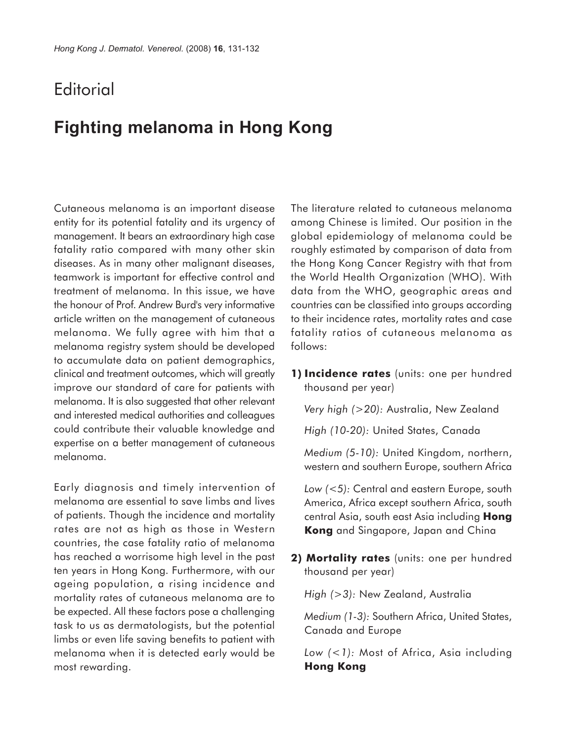## **Editorial**

## **Fighting melanoma in Hong Kong**

Cutaneous melanoma is an important disease entity for its potential fatality and its urgency of management. It bears an extraordinary high case fatality ratio compared with many other skin diseases. As in many other malignant diseases, teamwork is important for effective control and treatment of melanoma. In this issue, we have the honour of Prof. Andrew Burd's very informative article written on the management of cutaneous melanoma. We fully agree with him that a melanoma registry system should be developed to accumulate data on patient demographics, clinical and treatment outcomes, which will greatly improve our standard of care for patients with melanoma. It is also suggested that other relevant and interested medical authorities and colleagues could contribute their valuable knowledge and expertise on a better management of cutaneous melanoma.

Early diagnosis and timely intervention of melanoma are essential to save limbs and lives of patients. Though the incidence and mortality rates are not as high as those in Western countries, the case fatality ratio of melanoma has reached a worrisome high level in the past ten years in Hong Kong. Furthermore, with our ageing population, a rising incidence and mortality rates of cutaneous melanoma are to be expected. All these factors pose a challenging task to us as dermatologists, but the potential limbs or even life saving benefits to patient with melanoma when it is detected early would be most rewarding.

The literature related to cutaneous melanoma among Chinese is limited. Our position in the global epidemiology of melanoma could be roughly estimated by comparison of data from the Hong Kong Cancer Registry with that from the World Health Organization (WHO). With data from the WHO, geographic areas and countries can be classified into groups according to their incidence rates, mortality rates and case fatality ratios of cutaneous melanoma as follows:

**1) Incidence rates** (units: one per hundred thousand per year)

*Very high (>20):* Australia, New Zealand

*High (10-20):* United States, Canada

*Medium (5-10):* United Kingdom, northern, western and southern Europe, southern Africa

*Low (<5):* Central and eastern Europe, south America, Africa except southern Africa, south central Asia, south east Asia including **Hong Kong** and Singapore, Japan and China

2) Mortality rates (units: one per hundred thousand per year)

*High (>3):* New Zealand, Australia

*Medium (1-3):* Southern Africa, United States, Canada and Europe

*Low (<1):* Most of Africa, Asia including **Hong Kong**